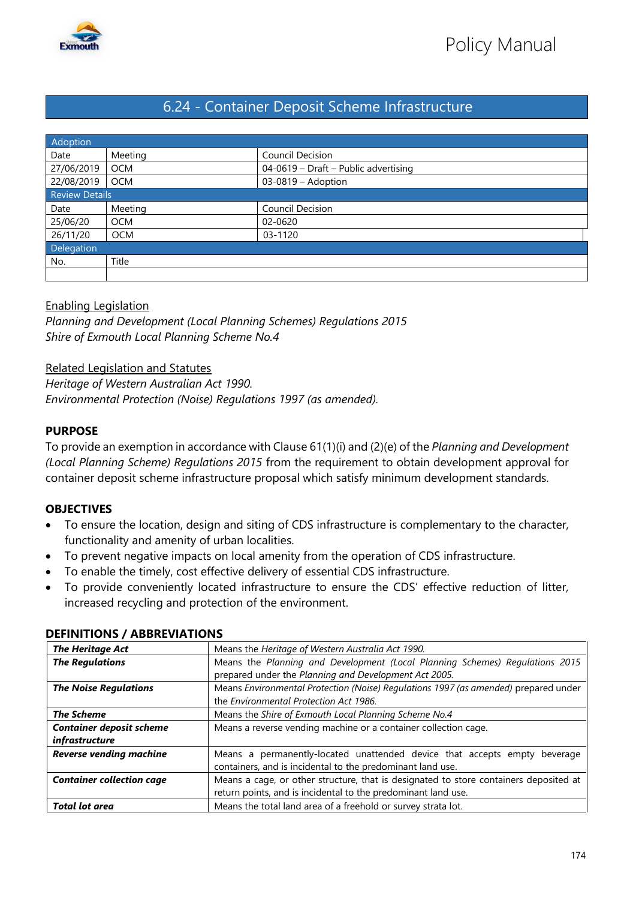

# 6.24 - Container Deposit Scheme Infrastructure

| Adoption              |            |                                      |  |
|-----------------------|------------|--------------------------------------|--|
| Date                  | Meeting    | Council Decision                     |  |
| 27/06/2019            | <b>OCM</b> | 04-0619 - Draft - Public advertising |  |
| 22/08/2019            | <b>OCM</b> | 03-0819 - Adoption                   |  |
| <b>Review Details</b> |            |                                      |  |
| Date                  | Meeting    | Council Decision                     |  |
| 25/06/20              | <b>OCM</b> | 02-0620                              |  |
| 26/11/20              | <b>OCM</b> | 03-1120                              |  |
| Delegation            |            |                                      |  |
| No.                   | Title      |                                      |  |
|                       |            |                                      |  |

## Enabling Legislation

*Planning and Development (Local Planning Schemes) Regulations 2015 Shire of Exmouth Local Planning Scheme No.4*

Related Legislation and Statutes

*Heritage of Western Australian Act 1990.*

*Environmental Protection (Noise) Regulations 1997 (as amended).*

#### **PURPOSE**

To provide an exemption in accordance with Clause 61(1)(i) and (2)(e) of the *Planning and Development (Local Planning Scheme) Regulations 2015* from the requirement to obtain development approval for container deposit scheme infrastructure proposal which satisfy minimum development standards.

### **OBJECTIVES**

- To ensure the location, design and siting of CDS infrastructure is complementary to the character, functionality and amenity of urban localities.
- To prevent negative impacts on local amenity from the operation of CDS infrastructure.
- To enable the timely, cost effective delivery of essential CDS infrastructure.
- To provide conveniently located infrastructure to ensure the CDS' effective reduction of litter, increased recycling and protection of the environment.

| <b>The Heritage Act</b>          | Means the Heritage of Western Australia Act 1990.                                     |
|----------------------------------|---------------------------------------------------------------------------------------|
| <b>The Regulations</b>           | Means the Planning and Development (Local Planning Schemes) Regulations 2015          |
|                                  | prepared under the Planning and Development Act 2005.                                 |
| <b>The Noise Regulations</b>     | Means Environmental Protection (Noise) Regulations 1997 (as amended) prepared under   |
|                                  | the Environmental Protection Act 1986.                                                |
| <b>The Scheme</b>                | Means the Shire of Exmouth Local Planning Scheme No.4                                 |
| <b>Container deposit scheme</b>  | Means a reverse vending machine or a container collection cage.                       |
| infrastructure                   |                                                                                       |
| <b>Reverse vending machine</b>   | Means a permanently-located unattended device that accepts empty<br>beverage          |
|                                  | containers, and is incidental to the predominant land use.                            |
| <b>Container collection cage</b> | Means a cage, or other structure, that is designated to store containers deposited at |
|                                  | return points, and is incidental to the predominant land use.                         |
| <b>Total lot area</b>            | Means the total land area of a freehold or survey strata lot.                         |

#### **DEFINITIONS / ABBREVIATIONS**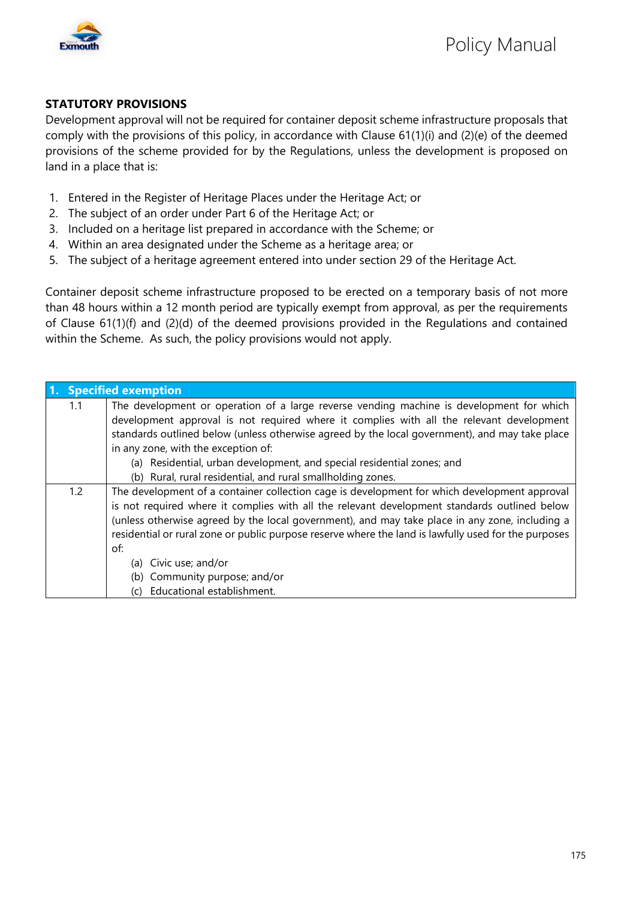

#### **STATUTORY PROVISIONS**

Development approval will not be required for container deposit scheme infrastructure proposals that comply with the provisions of this policy, in accordance with Clause 61(1)(i) and (2)(e) of the deemed provisions of the scheme provided for by the Regulations, unless the development is proposed on land in a place that is:

- 1. Entered in the Register of Heritage Places under the Heritage Act; or
- 2. The subject of an order under Part 6 of the Heritage Act; or
- 3. Included on a heritage list prepared in accordance with the Scheme; or
- 4. Within an area designated under the Scheme as a heritage area; or
- 5. The subject of a heritage agreement entered into under section 29 of the Heritage Act.

Container deposit scheme infrastructure proposed to be erected on a temporary basis of not more than 48 hours within a 12 month period are typically exempt from approval, as per the requirements of Clause 61(1)(f) and (2)(d) of the deemed provisions provided in the Regulations and contained within the Scheme. As such, the policy provisions would not apply.

|     | 1. Specified exemption                                                                               |  |  |
|-----|------------------------------------------------------------------------------------------------------|--|--|
| 1.1 | The development or operation of a large reverse vending machine is development for which             |  |  |
|     | development approval is not required where it complies with all the relevant development             |  |  |
|     | standards outlined below (unless otherwise agreed by the local government), and may take place       |  |  |
|     | in any zone, with the exception of:                                                                  |  |  |
|     | (a) Residential, urban development, and special residential zones; and                               |  |  |
|     | (b) Rural, rural residential, and rural smallholding zones.                                          |  |  |
| 1.2 | The development of a container collection cage is development for which development approval         |  |  |
|     | is not required where it complies with all the relevant development standards outlined below         |  |  |
|     | (unless otherwise agreed by the local government), and may take place in any zone, including a       |  |  |
|     | residential or rural zone or public purpose reserve where the land is lawfully used for the purposes |  |  |
|     | of:                                                                                                  |  |  |
|     | (a) Civic use; and/or                                                                                |  |  |
|     | (b) Community purpose; and/or                                                                        |  |  |
|     | (c) Educational establishment.                                                                       |  |  |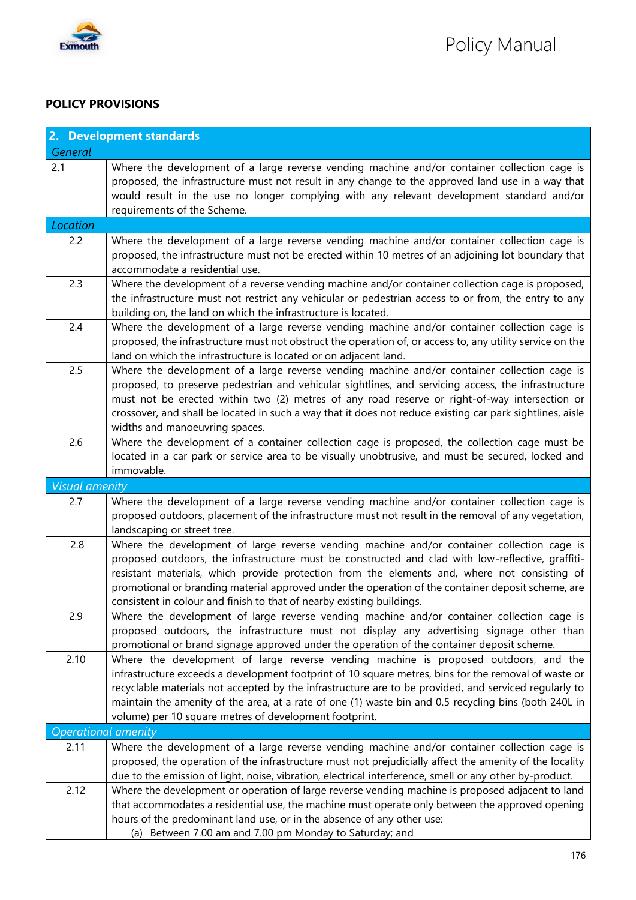

### **POLICY PROVISIONS**

|                            | 2. Development standards                                                                                                                                                                                                                                                                                                                                                                                                                                                       |  |  |
|----------------------------|--------------------------------------------------------------------------------------------------------------------------------------------------------------------------------------------------------------------------------------------------------------------------------------------------------------------------------------------------------------------------------------------------------------------------------------------------------------------------------|--|--|
| General                    |                                                                                                                                                                                                                                                                                                                                                                                                                                                                                |  |  |
| 2.1                        | Where the development of a large reverse vending machine and/or container collection cage is<br>proposed, the infrastructure must not result in any change to the approved land use in a way that<br>would result in the use no longer complying with any relevant development standard and/or<br>requirements of the Scheme.                                                                                                                                                  |  |  |
| Location                   |                                                                                                                                                                                                                                                                                                                                                                                                                                                                                |  |  |
| 2.2                        | Where the development of a large reverse vending machine and/or container collection cage is<br>proposed, the infrastructure must not be erected within 10 metres of an adjoining lot boundary that<br>accommodate a residential use.                                                                                                                                                                                                                                          |  |  |
| 2.3                        | Where the development of a reverse vending machine and/or container collection cage is proposed,<br>the infrastructure must not restrict any vehicular or pedestrian access to or from, the entry to any<br>building on, the land on which the infrastructure is located.                                                                                                                                                                                                      |  |  |
| 2.4                        | Where the development of a large reverse vending machine and/or container collection cage is<br>proposed, the infrastructure must not obstruct the operation of, or access to, any utility service on the<br>land on which the infrastructure is located or on adjacent land.                                                                                                                                                                                                  |  |  |
| 2.5                        | Where the development of a large reverse vending machine and/or container collection cage is<br>proposed, to preserve pedestrian and vehicular sightlines, and servicing access, the infrastructure<br>must not be erected within two (2) metres of any road reserve or right-of-way intersection or<br>crossover, and shall be located in such a way that it does not reduce existing car park sightlines, aisle<br>widths and manoeuvring spaces.                            |  |  |
| 2.6                        | Where the development of a container collection cage is proposed, the collection cage must be<br>located in a car park or service area to be visually unobtrusive, and must be secured, locked and<br>immovable.                                                                                                                                                                                                                                                               |  |  |
| <b>Visual amenity</b>      |                                                                                                                                                                                                                                                                                                                                                                                                                                                                                |  |  |
| 2.7                        | Where the development of a large reverse vending machine and/or container collection cage is<br>proposed outdoors, placement of the infrastructure must not result in the removal of any vegetation,<br>landscaping or street tree.                                                                                                                                                                                                                                            |  |  |
| 2.8                        | Where the development of large reverse vending machine and/or container collection cage is<br>proposed outdoors, the infrastructure must be constructed and clad with low-reflective, graffiti-<br>resistant materials, which provide protection from the elements and, where not consisting of<br>promotional or branding material approved under the operation of the container deposit scheme, are<br>consistent in colour and finish to that of nearby existing buildings. |  |  |
| 2.9                        | Where the development of large reverse vending machine and/or container collection cage is<br>proposed outdoors, the infrastructure must not display any advertising signage other than<br>promotional or brand signage approved under the operation of the container deposit scheme.                                                                                                                                                                                          |  |  |
| 2.10                       | Where the development of large reverse vending machine is proposed outdoors, and the<br>infrastructure exceeds a development footprint of 10 square metres, bins for the removal of waste or<br>recyclable materials not accepted by the infrastructure are to be provided, and serviced regularly to<br>maintain the amenity of the area, at a rate of one (1) waste bin and 0.5 recycling bins (both 240L in<br>volume) per 10 square metres of development footprint.       |  |  |
| <b>Operational amenity</b> |                                                                                                                                                                                                                                                                                                                                                                                                                                                                                |  |  |
| 2.11                       | Where the development of a large reverse vending machine and/or container collection cage is<br>proposed, the operation of the infrastructure must not prejudicially affect the amenity of the locality<br>due to the emission of light, noise, vibration, electrical interference, smell or any other by-product.                                                                                                                                                             |  |  |
| 2.12                       | Where the development or operation of large reverse vending machine is proposed adjacent to land<br>that accommodates a residential use, the machine must operate only between the approved opening<br>hours of the predominant land use, or in the absence of any other use:<br>(a) Between 7.00 am and 7.00 pm Monday to Saturday; and                                                                                                                                       |  |  |